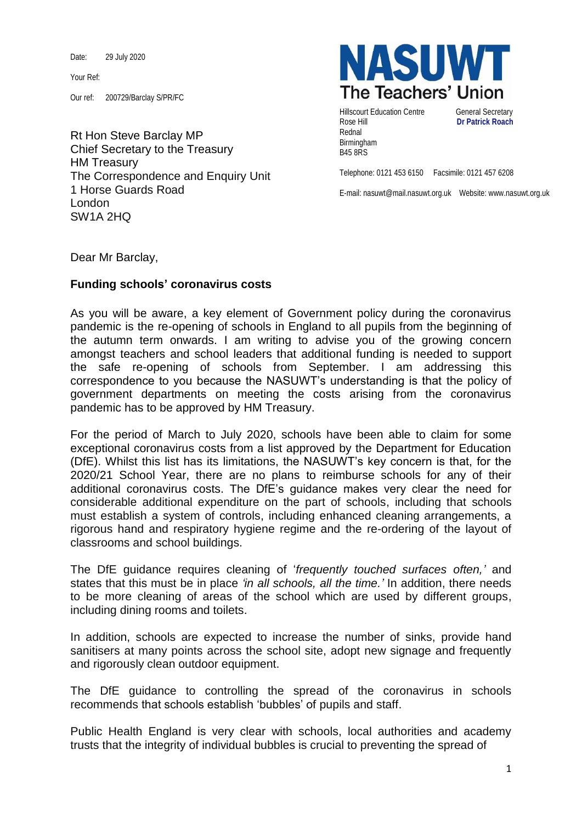Date: 29 July 2020

Your Ref:

Our ref: 200729/Barclay S/PR/FC

Rt Hon Steve Barclay MP Chief Secretary to the Treasury HM Treasury The Correspondence and Enquiry Unit 1 Horse Guards Road London SW1A 2HQ



Hillscourt Education Centre **General Secretary** Rose Hill **Dr Patrick Roach** Rednal Birmingham B45 8RS

Telephone: 0121 453 6150 Facsimile: 0121 457 6208

E-mail: nasuwt@mail.nasuwt.org.uk Website: www.nasuwt.org.uk

Dear Mr Barclay,

## **Funding schools' coronavirus costs**

As you will be aware, a key element of Government policy during the coronavirus pandemic is the re-opening of schools in England to all pupils from the beginning of the autumn term onwards. I am writing to advise you of the growing concern amongst teachers and school leaders that additional funding is needed to support the safe re-opening of schools from September. I am addressing this correspondence to you because the NASUWT's understanding is that the policy of government departments on meeting the costs arising from the coronavirus pandemic has to be approved by HM Treasury.

For the period of March to July 2020, schools have been able to claim for some exceptional coronavirus costs from a list approved by the Department for Education (DfE). Whilst this list has its limitations, the NASUWT's key concern is that, for the 2020/21 School Year, there are no plans to reimburse schools for any of their additional coronavirus costs. The DfE's guidance makes very clear the need for considerable additional expenditure on the part of schools, including that schools must establish a system of controls, including enhanced cleaning arrangements, a rigorous hand and respiratory hygiene regime and the re-ordering of the layout of classrooms and school buildings.

The DfE guidance requires cleaning of '*frequently touched surfaces often,'* and states that this must be in place *'in all schools, all the time.'* In addition, there needs to be more cleaning of areas of the school which are used by different groups, including dining rooms and toilets.

In addition, schools are expected to increase the number of sinks, provide hand sanitisers at many points across the school site, adopt new signage and frequently and rigorously clean outdoor equipment.

The DfE guidance to controlling the spread of the coronavirus in schools recommends that schools establish 'bubbles' of pupils and staff.

Public Health England is very clear with schools, local authorities and academy trusts that the integrity of individual bubbles is crucial to preventing the spread of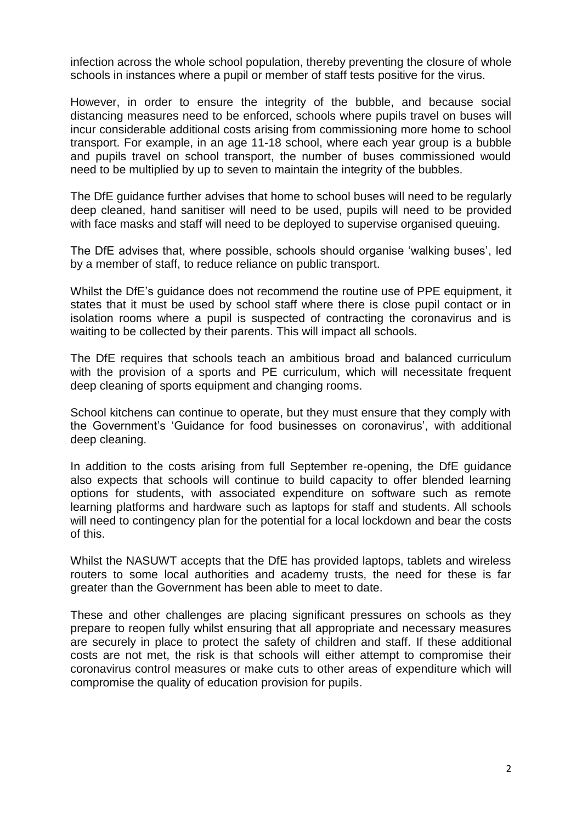infection across the whole school population, thereby preventing the closure of whole schools in instances where a pupil or member of staff tests positive for the virus.

However, in order to ensure the integrity of the bubble, and because social distancing measures need to be enforced, schools where pupils travel on buses will incur considerable additional costs arising from commissioning more home to school transport. For example, in an age 11-18 school, where each year group is a bubble and pupils travel on school transport, the number of buses commissioned would need to be multiplied by up to seven to maintain the integrity of the bubbles.

The DfE guidance further advises that home to school buses will need to be regularly deep cleaned, hand sanitiser will need to be used, pupils will need to be provided with face masks and staff will need to be deployed to supervise organised queuing.

The DfE advises that, where possible, schools should organise 'walking buses', led by a member of staff, to reduce reliance on public transport.

Whilst the DfE's guidance does not recommend the routine use of PPE equipment, it states that it must be used by school staff where there is close pupil contact or in isolation rooms where a pupil is suspected of contracting the coronavirus and is waiting to be collected by their parents. This will impact all schools.

The DfE requires that schools teach an ambitious broad and balanced curriculum with the provision of a sports and PE curriculum, which will necessitate frequent deep cleaning of sports equipment and changing rooms.

School kitchens can continue to operate, but they must ensure that they comply with the Government's 'Guidance for food businesses on coronavirus', with additional deep cleaning.

In addition to the costs arising from full September re-opening, the DfE guidance also expects that schools will continue to build capacity to offer blended learning options for students, with associated expenditure on software such as remote learning platforms and hardware such as laptops for staff and students. All schools will need to contingency plan for the potential for a local lockdown and bear the costs of this.

Whilst the NASUWT accepts that the DfE has provided laptops, tablets and wireless routers to some local authorities and academy trusts, the need for these is far greater than the Government has been able to meet to date.

These and other challenges are placing significant pressures on schools as they prepare to reopen fully whilst ensuring that all appropriate and necessary measures are securely in place to protect the safety of children and staff. If these additional costs are not met, the risk is that schools will either attempt to compromise their coronavirus control measures or make cuts to other areas of expenditure which will compromise the quality of education provision for pupils.